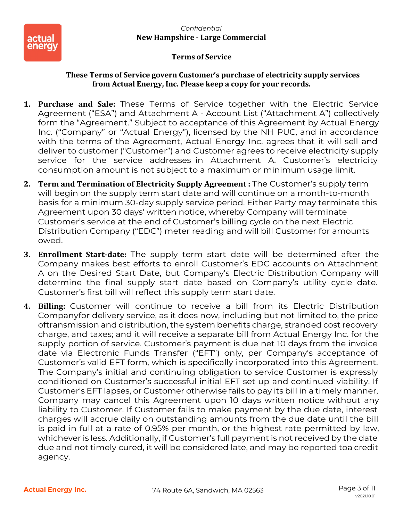

#### **These Terms of Service govern Customer's purchase of electricity supply services from Actual Energy, Inc. Please keep a copy for your records.**

- **1. Purchase and Sale:** These Terms of Service together with the Electric Service Agreement ("ESA") and Attachment A - Account List ("Attachment A") collectively form the "Agreement." Subject to acceptance of this Agreement by Actual Energy Inc. ("Company" or "Actual Energy"), licensed by the NH PUC, and in accordance with the terms of the Agreement, Actual Energy Inc. agrees that it will sell and deliver to customer ("Customer") and Customer agrees to receive electricity supply service for the service addresses in Attachment A. Customer's electricity consumption amount is not subject to a maximum or minimum usage limit.
- **2. Term and Termination of Electricity Supply Agreement :** The Customer's supply term will begin on the supply term start date and will continue on a month-to-month basis for a minimum 30-day supply service period. Either Party may terminate this Agreement upon 30 days' written notice, whereby Company will terminate Customer's service at the end of Customer's billing cycle on the next Electric Distribution Company ("EDC") meter reading and will bill Customer for amounts owed.
- **3. Enrollment Start-date:** The supply term start date will be determined after the Company makes best efforts to enroll Customer's EDC accounts on Attachment A on the Desired Start Date, but Company's Electric Distribution Company will determine the final supply start date based on Company's utility cycle date. Customer's first bill will reflect this supply term start date.
- **4. Billing:** Customer will continue to receive a bill from its Electric Distribution Companyfor delivery service, as it does now, including but not limited to, the price oftransmission and distribution, the system benefits charge, stranded cost recovery charge, and taxes; and it will receive a separate bill from Actual Energy Inc. for the supply portion of service. Customer's payment is due net 10 days from the invoice date via Electronic Funds Transfer ("EFT") only, per Company's acceptance of Customer's valid EFT form, which is specifically incorporated into this Agreement. The Company's initial and continuing obligation to service Customer is expressly conditioned on Customer's successful initial EFT set up and continued viability. If Customer's EFT lapses, or Customer otherwise fails to pay its bill in a timely manner, Company may cancel this Agreement upon 10 days written notice without any liability to Customer. If Customer fails to make payment by the due date, interest charges will accrue daily on outstanding amounts from the due date until the bill is paid in full at a rate of 0.95% per month, or the highest rate permitted by law, whichever is less. Additionally, if Customer's full payment is not received by the date due and not timely cured, it will be considered late, and may be reported toa credit agency.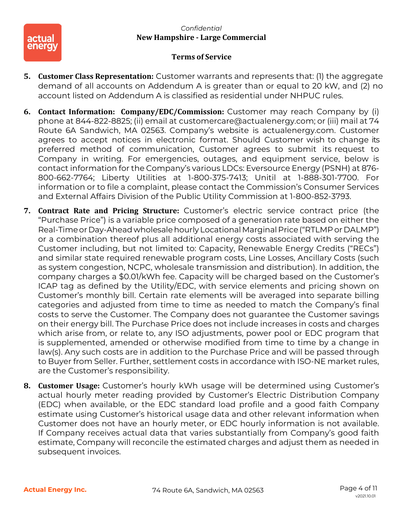

- **5. Customer Class Representation:** Customer warrants and represents that: (1) the aggregate demand of all accounts on Addendum A is greater than or equal to 20 kW, and (2) no account listed on Addendum A is classified as residential under NHPUC rules.
- **6. Contact Information: Company/EDC/Commission:** Customer may reach Company by (i) phone at 844-822-8825; (ii) email at customercare@actualenergy.com; or (iii) mail at 74 Route 6A Sandwich, MA 02563. Company's website is actualenergy.com. Customer agrees to accept notices in electronic format. Should Customer wish to change its preferred method of communication, Customer agrees to submit its request to Company in writing. For emergencies, outages, and equipment service, below is contact information for the Company's various LDCs: Eversource Energy (PSNH) at 876- 800-662-7764; Liberty Utilities at 1-800-375-7413; Unitil at 1-888-301-7700. For information or to file a complaint, please contact the Commission's Consumer Services and External Affairs Division of the Public Utility Commission at 1-800-852-3793.
- **7. Contract Rate and Pricing Structure:** Customer's electric service contract price (the "Purchase Price") is a variable price composed of a generation rate based on either the Real-Timeor Day-Ahead wholesalehourly Locational Marginal Price("RTLMP or DALMP") or a combination thereof plus all additional energy costs associated with serving the Customer including, but not limited to: Capacity, Renewable Energy Credits ("RECs") and similar state required renewable program costs, Line Losses, Ancillary Costs (such as system congestion, NCPC, wholesale transmission and distribution). In addition, the company charges a \$0.01/kWh fee. Capacity will be charged based on the Customer's ICAP tag as defined by the Utility/EDC, with service elements and pricing shown on Customer's monthly bill. Certain rate elements will be averaged into separate billing categories and adjusted from time to time as needed to match the Company's final costs to serve the Customer. The Company does not guarantee the Customer savings on their energy bill. The Purchase Price does not include increases in costs and charges which arise from, or relate to, any ISO adjustments, power pool or EDC program that is supplemented, amended or otherwise modified from time to time by a change in law(s). Any such costs are in addition to the Purchase Price and will be passed through to Buyer from Seller. Further, settlement costs in accordance with ISO-NE market rules, are the Customer's responsibility.
- **8. Customer Usage:** Customer's hourly kWh usage will be determined using Customer's actual hourly meter reading provided by Customer's Electric Distribution Company (EDC) when available, or the EDC standard load profile and a good faith Company estimate using Customer's historical usage data and other relevant information when Customer does not have an hourly meter, or EDC hourly information is not available. If Company receives actual data that varies substantially from Company's good faith estimate, Company will reconcile the estimated charges and adjust them as needed in subsequent invoices.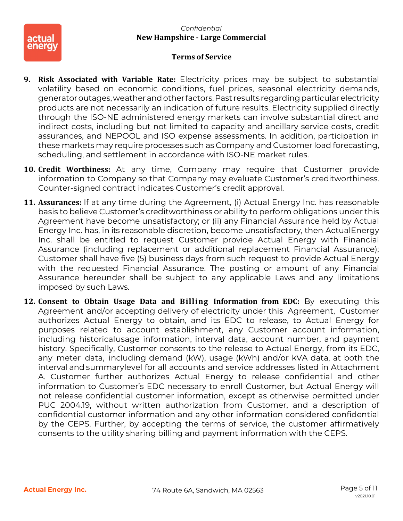

- **9. Risk Associated with Variable Rate:** Electricity prices may be subject to substantial volatility based on economic conditions, fuel prices, seasonal electricity demands, generatoroutages,weatherandother factors.Past results regardingparticularelectricity products are not necessarily an indication of future results. Electricity supplied directly through the ISO-NE administered energy markets can involve substantial direct and indirect costs, including but not limited to capacity and ancillary service costs, credit assurances, and NEPOOL and ISO expense assessments. In addition, participation in these markets may require processes such as Company and Customer load forecasting, scheduling, and settlement in accordance with ISO-NE market rules.
- **10. Credit Worthiness:** At any time, Company may require that Customer provide information to Company so that Company may evaluate Customer's creditworthiness. Counter- signed contract indicates Customer's credit approval.
- **11. Assurances:** If at any time during the Agreement, (i) Actual Energy Inc. has reasonable basis to believe Customer's creditworthiness or ability to perform obligations under this Agreement have become unsatisfactory; or (ii) any Financial Assurance held by Actual Energy Inc. has, in its reasonable discretion, become unsatisfactory, then ActualEnergy Inc. shall be entitled to request Customer provide Actual Energy with Financial Assurance (including replacement or additional replacement Financial Assurance); Customer shall have five (5) business days from such request to provide Actual Energy with the requested Financial Assurance. The posting or amount of any Financial Assurance hereunder shall be subject to any applicable Laws and any limitations imposed by such Laws.
- **12. Consent to Obtain Usage Data and Billing Information from EDC:** By executing this Agreement and/or accepting delivery of electricity under this Agreement, Customer authorizes Actual Energy to obtain, and its EDC to release, to Actual Energy for purposes related to account establishment, any Customer account information, including historicalusage information, interval data, account number, and payment history. Specifically, Customer consents to the release to Actual Energy, from its EDC, any meter data, including demand (kW), usage (kWh) and/or kVA data, at both the interval and summarylevel for all accounts and service addresses listed in Attachment A. Customer further authorizes Actual Energy to release confidential and other information to Customer's EDC necessary to enroll Customer, but Actual Energy will not release confidential customer information, except as otherwise permitted under PUC 2004.19, without written authorization from Customer, and a description of confidential customer information and any other information considered confidential by the CEPS. Further, by accepting the terms of service, the customer affirmatively consents to the utility sharing billing and payment information with the CEPS.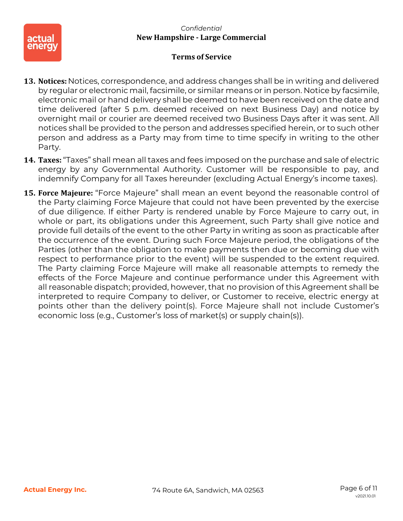

- **13. Notices:** Notices, correspondence, and address changes shall be in writing and delivered by regular or electronic mail, facsimile, or similar means or in person. Notice by facsimile, electronic mail or hand delivery shall be deemed to have been received on the date and time delivered (after 5 p.m. deemed received on next Business Day) and notice by overnight mail or courier are deemed received two Business Days after it was sent. All notices shall be provided to the person and addresses specified herein, or to such other person and address as a Party may from time to time specify in writing to the other Party.
- **14. Taxes:** "Taxes" shall mean all taxes and fees imposed on the purchase and sale of electric energy by any Governmental Authority. Customer will be responsible to pay, and indemnify Company for all Taxes hereunder (excluding Actual Energy's income taxes).
- **15. Force Majeure:** "Force Majeure" shall mean an event beyond the reasonable control of the Party claiming Force Majeure that could not have been prevented by the exercise of due diligence. If either Party is rendered unable by Force Majeure to carry out, in whole or part, its obligations under this Agreement, such Party shall give notice and provide full details of the event to the other Party in writing as soon as practicable after the occurrence of the event. During such Force Majeure period, the obligations of the Parties (other than the obligation to make payments then due or becoming due with respect to performance prior to the event) will be suspended to the extent required. The Party claiming Force Majeure will make all reasonable attempts to remedy the effects of the Force Majeure and continue performance under this Agreement with all reasonable dispatch; provided, however, that no provision of this Agreement shall be interpreted to require Company to deliver, or Customer to receive, electric energy at points other than the delivery point(s). Force Majeure shall not include Customer's economic loss (e.g., Customer's loss of market(s) or supply chain(s)).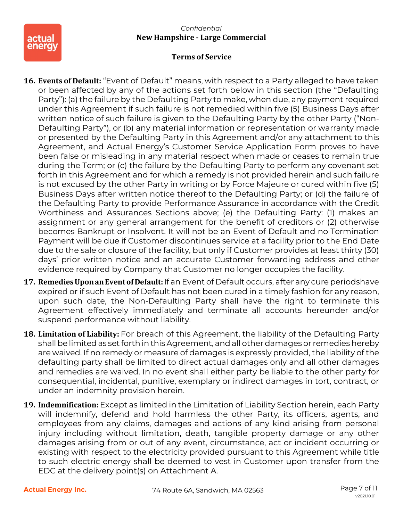

- **16. Events of Default:** "Event of Default" means, with respect to a Party alleged to have taken or been affected by any of the actions set forth below in this section (the "Defaulting Party"): (a) the failure by the Defaulting Party to make, when due, any payment required under this Agreement if such failure is not remedied within five (5) Business Days after written notice of such failure is given to the Defaulting Party by the other Party ("Non-Defaulting Party"), or (b) any material information or representation or warranty made or presented by the Defaulting Party in this Agreement and/or any attachment to this Agreement, and Actual Energy's Customer Service Application Form proves to have been false or misleading in any material respect when made or ceases to remain true during the Term; or (c) the failure by the Defaulting Party to perform any covenant set forth in this Agreement and for which a remedy is not provided herein and such failure is not excused by the other Party in writing or by Force Majeure or cured within five (5) Business Days after written notice thereof to the Defaulting Party; or (d) the failure of the Defaulting Party to provide Performance Assurance in accordance with the Credit Worthiness and Assurances Sections above; (e) the Defaulting Party: (1) makes an assignment or any general arrangement for the benefit of creditors or (2) otherwise becomes Bankrupt or Insolvent. It will not be an Event of Default and no Termination Payment will be due if Customer discontinues service at a facility prior to the End Date due to the sale or closure of the facility, but only if Customer provides at least thirty (30) days' prior written notice and an accurate Customer forwarding address and other evidence required by Company that Customer no longer occupies the facility.
- **17. RemediesUponanEventof Default:**If an Event of Default occurs, after any cure periodshave expired or if such Event of Default has not been cured in a timely fashion for any reason, upon such date, the Non-Defaulting Party shall have the right to terminate this Agreement effectively immediately and terminate all accounts hereunder and/or suspend performance without liability.
- **18. Limitation of Liability:** For breach of this Agreement, the liability of the Defaulting Party shall be limited as set forth in this Agreement, and all other damages or remedies hereby are waived. If no remedy or measure of damages is expressly provided, the liability of the defaulting party shall be limited to direct actual damages only and all other damages and remedies are waived. In no event shall either party be liable to the other party for consequential, incidental, punitive, exemplary or indirect damages in tort, contract, or under an indemnity provision herein.
- **19. Indemnification:** Except as limited in the Limitation of Liability Section herein, each Party will indemnify, defend and hold harmless the other Party, its officers, agents, and employees from any claims, damages and actions of any kind arising from personal injury including without limitation, death, tangible property damage or any other damages arising from or out of any event, circumstance, act or incident occurring or existing with respect to the electricity provided pursuant to this Agreement while title to such electric energy shall be deemed to vest in Customer upon transfer from the EDC at the delivery point(s) on Attachment A.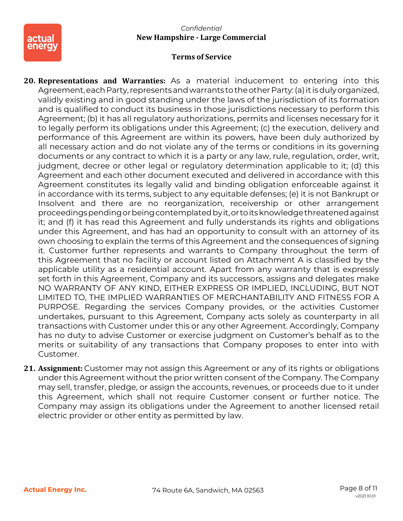

#### *Confidential* **New Hampshire - Large Commercial**

# **Terms of Service**

**20. Representations and Warranties:** As a material inducement to entering into this Agreement, each Party, represents and warrants to the other Party: (a) it is duly organized, validly existing and in good standing under the laws of the jurisdiction of its formation and is qualified to conduct its business in those jurisdictions necessary to perform this Agreement; (b) it has all regulatory authorizations, permits and licenses necessary for it to legally perform its obligations under this Agreement; (c) the execution, delivery and performance of this Agreement are within its powers, have been duly authorized by all necessary action and do not violate any of the terms or conditions in its governing documents or any contract to which it is a party or any law, rule, regulation, order, writ, judgment, decree or other legal or regulatory determination applicable to it; (d) this Agreement and each other document executed and delivered in accordance with this Agreement constitutes its legally valid and binding obligation enforceable against it in accordance with its terms, subject to any equitable defenses; (e) it is not Bankrupt or Insolvent and there are no reorganization, receivership or other arrangement proceedingspendingorbeingcontemplatedbyit,or toitsknowledgethreatenedagainst it; and (f) it has read this Agreement and fully understands its rights and obligations under this Agreement, and has had an opportunity to consult with an attorney of its own choosing to explain the terms of this Agreement and the consequences of signing it. Customer further represents and warrants to Company throughout the term of this Agreement that no facility or account listed on Attachment A is classified by the applicable utility as a residential account. Apart from any warranty that is expressly set forth in this Agreement, Company and its successors, assigns and delegates make NO WARRANTY OF ANY KIND, EITHER EXPRESS OR IMPLIED, INCLUDING, BUT NOT LIMITED TO, THE IMPLIED WARRANTIES OF MERCHANTABILITY AND FITNESS FOR A PURPOSE. Regarding the services Company provides, or the activities Customer undertakes, pursuant to this Agreement, Company acts solely as counterparty in all transactions with Customer under this or any other Agreement. Accordingly, Company has no duty to advise Customer or exercise judgment on Customer's behalf as to the merits or suitability of any transactions that Company proposes to enter into with Customer.

**21. Assignment:** Customer may not assign this Agreement or any of its rights or obligations under this Agreement without the prior written consent of the Company. The Company may sell, transfer, pledge, or assign the accounts, revenues, or proceeds due to it under this Agreement, which shall not require Customer consent or further notice. The Company may assign its obligations under the Agreement to another licensed retail electric provider or other entity as permitted by law.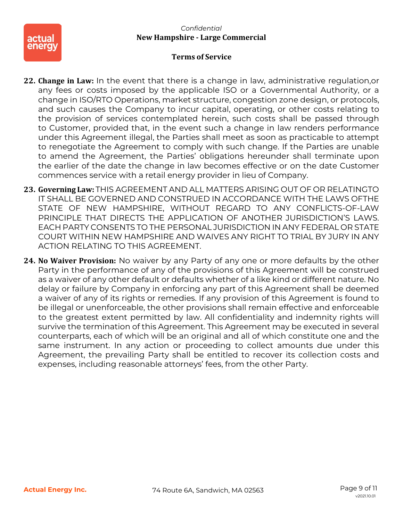

- **22. Change in Law:** In the event that there is a change in law, administrative regulation,or any fees or costs imposed by the applicable ISO or a Governmental Authority, or a change in ISO/RTO Operations, market structure, congestion zone design, or protocols, and such causes the Company to incur capital, operating, or other costs relating to the provision of services contemplated herein, such costs shall be passed through to Customer, provided that, in the event such a change in law renders performance under this Agreement illegal, the Parties shall meet as soon as practicable to attempt to renegotiate the Agreement to comply with such change. If the Parties are unable to amend the Agreement, the Parties' obligations hereunder shall terminate upon the earlier of the date the change in law becomes effective or on the date Customer commences service with a retail energy provider in lieu of Company.
- **23. Governing Law:** THIS AGREEMENT AND ALL MATTERS ARISING OUT OF OR RELATINGTO IT SHALL BE GOVERNED AND CONSTRUED IN ACCORDANCE WITH THE LAWS OFTHE STATE OF NEW HAMPSHIRE, WITHOUT REGARD TO ANY CONFLICTS-OF-LAW PRINCIPLE THAT DIRECTS THE APPLICATION OF ANOTHER JURISDICTION'S LAWS. EACH PARTY CONSENTS TO THE PERSONAL JURISDICTION IN ANY FEDERAL OR STATE COURT WITHIN NEW HAMPSHIRE AND WAIVES ANY RIGHT TO TRIAL BY JURY IN ANY ACTION RELATING TO THIS AGREEMENT.
- **24. No Waiver Provision:** No waiver by any Party of any one or more defaults by the other Party in the performance of any of the provisions of this Agreement will be construed as a waiver of any other default or defaults whether of a like kind or different nature. No delay or failure by Company in enforcing any part of this Agreement shall be deemed a waiver of any of its rights or remedies. If any provision of this Agreement is found to be illegal or unenforceable, the other provisions shall remain effective and enforceable to the greatest extent permitted by law. All confidentiality and indemnity rights will survive the termination of this Agreement. This Agreement may be executed in several counterparts, each of which will be an original and all of which constitute one and the same instrument. In any action or proceeding to collect amounts due under this Agreement, the prevailing Party shall be entitled to recover its collection costs and expenses, including reasonable attorneys' fees, from the other Party.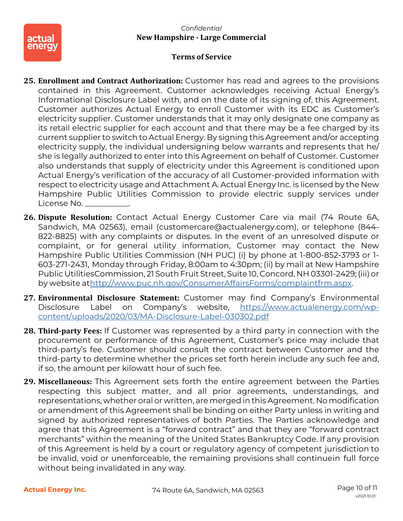

- **25. Enrollment and Contract Authorization:** Customer has read and agrees to the provisions contained in this Agreement. Customer acknowledges receiving Actual Energy's Informational Disclosure Label with, and on the date of its signing of, this Agreement. Customer authorizes Actual Energy to enroll Customer with its EDC as Customer's electricity supplier. Customer understands that it may only designate one company as its retail electric supplier for each account and that there may be a fee charged by its current supplier to switch to Actual Energy. By signing this Agreement and/or accepting electricity supply, the individual undersigning below warrants and represents that he/ she is legally authorized to enter into this Agreement on behalf of Customer. Customer also understands that supply of electricity under this Agreement is conditioned upon Actual Energy's verification of the accuracy of all Customer-provided information with respect to electricity usage and Attachment A. Actual Energy Inc. is licensed by the New Hampshire Public Utilities Commission to provide electric supply services under License No.
- **26. Dispute Resolution:** Contact Actual Energy Customer Care via mail (74 Route 6A, Sandwich, MA 02563), email (customercare@actualenergy.com), or telephone (844- 822-8825) with any complaints or disputes. In the event of an unresolved dispute or complaint, or for general utility information, Customer may contact the New Hampshire Public Utilities Commission (NH PUC) (i) by phone at 1-800-852-3793 or 1- 603-271-2431, Monday through Friday, 8:00am to 4:30pm; (ii) by mail at New Hampshire PublicUtilitiesCommission, 21 South Fruit Street, Suite 10, Concord, NH 03301-2429; (iii) or by website a[thttp://www.puc.nh.gov/ConsumerAffairsForms/complaintfrm.aspx.](http://www.puc.nh.gov/ConsumerAffairsForms/complaintfrm.aspx)
- **27. Environmental Disclosure Statement:** Customer may find Company's Environmental Disclosure Label on Company's website, [https://www.actualenergy.com/wp](https://www.actualenergy.com/wp-content/uploads/2020/03/MA-Disclosure-Label-030302.pdf)[content/uploads/2020/03/MA-Disclosure-Label-030302.pdf](https://www.actualenergy.com/wp-content/uploads/2020/03/MA-Disclosure-Label-030302.pdf)
- **28. Third-party Fees:** If Customer was represented by a third party in connection with the procurement or performance of this Agreement, Customer's price may include that third-party's fee. Customer should consult the contract between Customer and the third-party to determine whether the prices set forth herein include any such fee and, if so, the amount per kilowatt hour of such fee.
- **29. Miscellaneous:** This Agreement sets forth the entire agreement between the Parties respecting this subject matter, and all prior agreements, understandings, and representations, whether oral or written, aremerged in this Agreement. Nomodification or amendment of this Agreement shall be binding on either Party unless in writing and signed by authorized representatives of both Parties. The Parties acknowledge and agree that this Agreement is a "forward contract" and that they are "forward contract merchants" within the meaning of the United States Bankruptcy Code. If any provision of this Agreement is held by a court or regulatory agency of competent jurisdiction to be invalid, void or unenforceable, the remaining provisions shall continuein full force without being invalidated in any way.